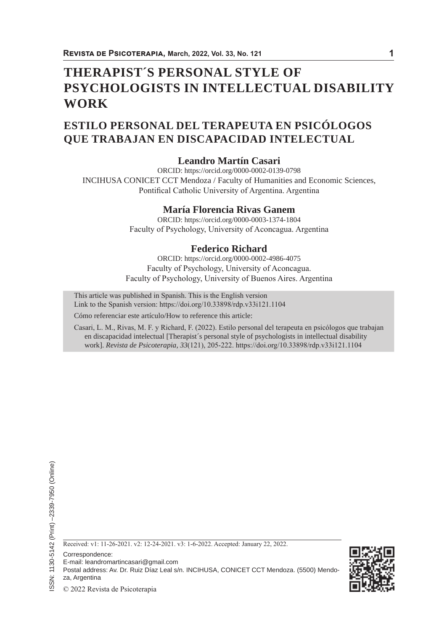# **THERAPIST´S PERSONAL STYLE OF PSYCHOLOGISTS IN INTELLECTUAL DISABILITY WORK**

# **ESTILO PERSONAL DEL TERAPEUTA EN PSICÓLOGOS QUE TRABAJAN EN DISCAPACIDAD INTELECTUAL**

# **Leandro Martín Casari**

ORCID: https://orcid.org/0000-0002-0139-0798 INCIHUSA CONICET CCT Mendoza / Faculty of Humanities and Economic Sciences, Pontifical Catholic University of Argentina. Argentina

## **María Florencia Rivas Ganem**

ORCID: https://orcid.org/0000-0003-1374-1804 Faculty of Psychology, University of Aconcagua. Argentina

# **Federico Richard**

ORCID: https://orcid.org/0000-0002-4986-4075 Faculty of Psychology, University of Aconcagua. Faculty of Psychology, University of Buenos Aires. Argentina

This article was published in Spanish. This is the English version Link to the Spanish version: https://doi.org/10.33898/rdp.v33i121.1104

Cómo referenciar este artículo/How to reference this article:

Casari, L. M., Rivas, M. F. y Richard, F. (2022). Estilo personal del terapeuta en psicólogos que trabajan en discapacidad intelectual [Therapist´s personal style of psychologists in intellectual disability work]. *Revista de Psicoterapia, 33*(121), 205-222. https://doi.org/10.33898/rdp.v33i121.1104



Correspondence:

- E-mail: leandromartincasari@gmail.com
- Postal address: Av. Dr. Ruiz Díaz Leal s/n. INCIHUSA, CONICET CCT Mendoza. (5500) Mendo-

za, Argentina

© 2022 Revista de Psicoterapia

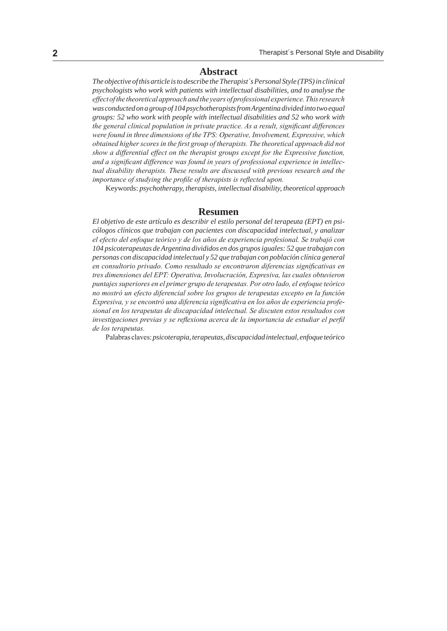#### **Abstract**

*The objective of this article is to describe the Therapist´s Personal Style (TPS) in clinical psychologists who work with patients with intellectual disabilities, and to analyse the effect of the theoretical approach and the years of professional experience. This research was conducted on a group of 104 psychotherapists from Argentina divided into two equal groups: 52 who work with people with intellectual disabilities and 52 who work with the general clinical population in private practice. As a result, significant differences were found in three dimensions of the TPS: Operative, Involvement, Expressive, which obtained higher scores in the first group of therapists. The theoretical approach did not show a differential effect on the therapist groups except for the Expressive function, and a significant difference was found in years of professional experience in intellectual disability therapists. These results are discussed with previous research and the importance of studying the profile of therapists is reflected upon.*

Keywords: *psychotherapy, therapists, intellectual disability, theoretical approach*

#### **Resumen**

*El objetivo de este artículo es describir el estilo personal del terapeuta (EPT) en psicólogos clínicos que trabajan con pacientes con discapacidad intelectual, y analizar el efecto del enfoque teórico y de los años de experiencia profesional. Se trabajó con 104 psicoterapeutas de Argentina divididos en dos grupos iguales: 52 que trabajan con personas con discapacidad intelectual y 52 que trabajan con población clínica general en consultorio privado. Como resultado se encontraron diferencias significativas en tres dimensiones del EPT: Operativa, Involucración, Expresiva, las cuales obtuvieron puntajes superiores en el primer grupo de terapeutas. Por otro lado, el enfoque teórico no mostró un efecto diferencial sobre los grupos de terapeutas excepto en la función Expresiva, y se encontró una diferencia significativa en los años de experiencia profesional en los terapeutas de discapacidad intelectual. Se discuten estos resultados con investigaciones previas y se reflexiona acerca de la importancia de estudiar el perfil de los terapeutas.*

Palabras claves: *psicoterapia, terapeutas, discapacidad intelectual, enfoque teórico*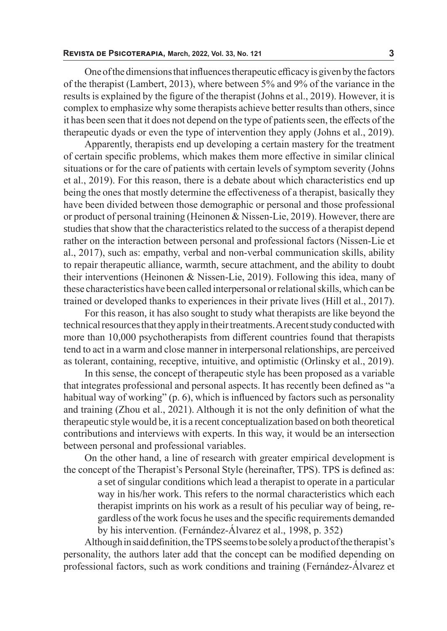One of the dimensions that influences therapeutic efficacy is given by the factors of the therapist (Lambert, 2013), where between 5% and 9% of the variance in the results is explained by the figure of the therapist (Johns et al., 2019). However, it is complex to emphasize why some therapists achieve better results than others, since it has been seen that it does not depend on the type of patients seen, the effects of the therapeutic dyads or even the type of intervention they apply (Johns et al., 2019).

Apparently, therapists end up developing a certain mastery for the treatment of certain specific problems, which makes them more effective in similar clinical situations or for the care of patients with certain levels of symptom severity (Johns et al., 2019). For this reason, there is a debate about which characteristics end up being the ones that mostly determine the effectiveness of a therapist, basically they have been divided between those demographic or personal and those professional or product of personal training (Heinonen & Nissen-Lie, 2019). However, there are studies that show that the characteristics related to the success of a therapist depend rather on the interaction between personal and professional factors (Nissen-Lie et al., 2017), such as: empathy, verbal and non-verbal communication skills, ability to repair therapeutic alliance, warmth, secure attachment, and the ability to doubt their interventions (Heinonen & Nissen-Lie, 2019). Following this idea, many of these characteristics have been called interpersonal or relational skills, which can be trained or developed thanks to experiences in their private lives (Hill et al., 2017).

For this reason, it has also sought to study what therapists are like beyond the technical resources that they apply in their treatments. A recent study conducted with more than 10,000 psychotherapists from different countries found that therapists tend to act in a warm and close manner in interpersonal relationships, are perceived as tolerant, containing, receptive, intuitive, and optimistic (Orlinsky et al., 2019).

In this sense, the concept of therapeutic style has been proposed as a variable that integrates professional and personal aspects. It has recently been defined as "a habitual way of working" (p. 6), which is influenced by factors such as personality and training (Zhou et al., 2021). Although it is not the only definition of what the therapeutic style would be, it is a recent conceptualization based on both theoretical contributions and interviews with experts. In this way, it would be an intersection between personal and professional variables.

On the other hand, a line of research with greater empirical development is the concept of the Therapist's Personal Style (hereinafter, TPS). TPS is defined as:

a set of singular conditions which lead a therapist to operate in a particular way in his/her work. This refers to the normal characteristics which each therapist imprints on his work as a result of his peculiar way of being, regardless of the work focus he uses and the specific requirements demanded by his intervention. (Fernández-Álvarez et al., 1998, p. 352)

Although in said definition, the TPS seems to be solely a product of the therapist's personality, the authors later add that the concept can be modified depending on professional factors, such as work conditions and training (Fernández-Álvarez et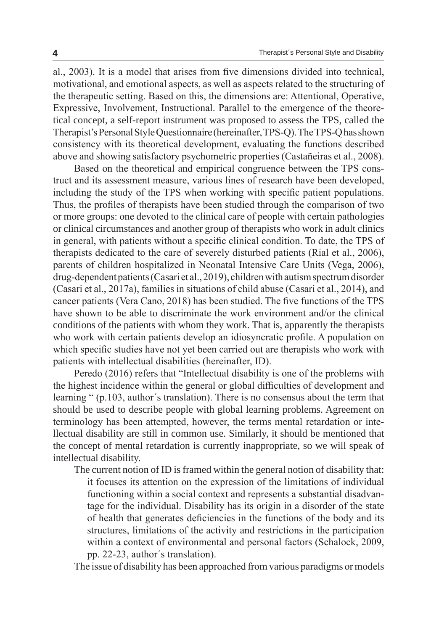al., 2003). It is a model that arises from five dimensions divided into technical, motivational, and emotional aspects, as well as aspects related to the structuring of the therapeutic setting. Based on this, the dimensions are: Attentional, Operative, Expressive, Involvement, Instructional. Parallel to the emergence of the theoretical concept, a self-report instrument was proposed to assess the TPS, called the Therapist's Personal Style Questionnaire (hereinafter, TPS-Q). The TPS-Q has shown consistency with its theoretical development, evaluating the functions described above and showing satisfactory psychometric properties (Castañeiras et al., 2008).

Based on the theoretical and empirical congruence between the TPS construct and its assessment measure, various lines of research have been developed, including the study of the TPS when working with specific patient populations. Thus, the profiles of therapists have been studied through the comparison of two or more groups: one devoted to the clinical care of people with certain pathologies or clinical circumstances and another group of therapists who work in adult clinics in general, with patients without a specific clinical condition. To date, the TPS of therapists dedicated to the care of severely disturbed patients (Rial et al., 2006), parents of children hospitalized in Neonatal Intensive Care Units (Vega, 2006), drug-dependent patients (Casari et al., 2019), children with autism spectrum disorder (Casari et al., 2017a), families in situations of child abuse (Casari et al., 2014), and cancer patients (Vera Cano, 2018) has been studied. The five functions of the TPS have shown to be able to discriminate the work environment and/or the clinical conditions of the patients with whom they work. That is, apparently the therapists who work with certain patients develop an idiosyncratic profile. A population on which specific studies have not yet been carried out are therapists who work with patients with intellectual disabilities (hereinafter, ID).

Peredo (2016) refers that "Intellectual disability is one of the problems with the highest incidence within the general or global difficulties of development and learning " (p.103, author´s translation). There is no consensus about the term that should be used to describe people with global learning problems. Agreement on terminology has been attempted, however, the terms mental retardation or intellectual disability are still in common use. Similarly, it should be mentioned that the concept of mental retardation is currently inappropriate, so we will speak of intellectual disability.

The current notion of ID is framed within the general notion of disability that: it focuses its attention on the expression of the limitations of individual functioning within a social context and represents a substantial disadvantage for the individual. Disability has its origin in a disorder of the state of health that generates deficiencies in the functions of the body and its structures, limitations of the activity and restrictions in the participation within a context of environmental and personal factors (Schalock, 2009, pp. 22-23, author´s translation).

The issue of disability has been approached from various paradigms or models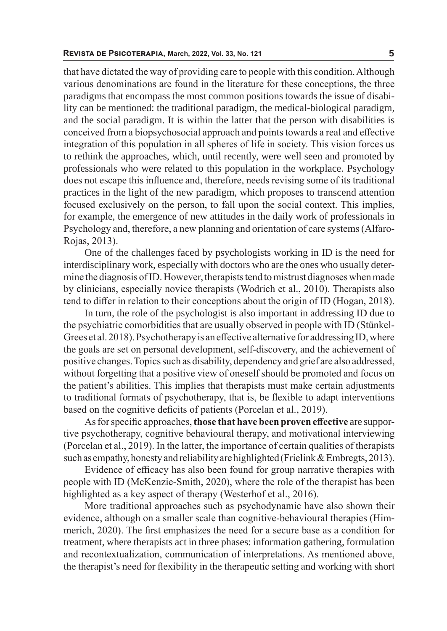that have dictated the way of providing care to people with this condition. Although various denominations are found in the literature for these conceptions, the three paradigms that encompass the most common positions towards the issue of disability can be mentioned: the traditional paradigm, the medical-biological paradigm, and the social paradigm. It is within the latter that the person with disabilities is conceived from a biopsychosocial approach and points towards a real and effective integration of this population in all spheres of life in society. This vision forces us to rethink the approaches, which, until recently, were well seen and promoted by professionals who were related to this population in the workplace. Psychology does not escape this influence and, therefore, needs revising some of its traditional practices in the light of the new paradigm, which proposes to transcend attention focused exclusively on the person, to fall upon the social context. This implies, for example, the emergence of new attitudes in the daily work of professionals in Psychology and, therefore, a new planning and orientation of care systems (Alfaro-Rojas, 2013).

One of the challenges faced by psychologists working in ID is the need for interdisciplinary work, especially with doctors who are the ones who usually determine the diagnosis of ID. However, therapists tend to mistrust diagnoses when made by clinicians, especially novice therapists (Wodrich et al., 2010). Therapists also tend to differ in relation to their conceptions about the origin of ID (Hogan, 2018).

In turn, the role of the psychologist is also important in addressing ID due to the psychiatric comorbidities that are usually observed in people with ID (Stünkel-Grees et al. 2018). Psychotherapy is an effective alternative for addressing ID, where the goals are set on personal development, self-discovery, and the achievement of positive changes. Topics such as disability, dependency and grief are also addressed, without forgetting that a positive view of oneself should be promoted and focus on the patient's abilities. This implies that therapists must make certain adjustments to traditional formats of psychotherapy, that is, be flexible to adapt interventions based on the cognitive deficits of patients (Porcelan et al., 2019).

As for specific approaches, **those that have been proven effective** are supportive psychotherapy, cognitive behavioural therapy, and motivational interviewing (Porcelan et al., 2019). In the latter, the importance of certain qualities of therapists such as empathy, honesty and reliability are highlighted (Frielink  $\&$  Embregts, 2013).

Evidence of efficacy has also been found for group narrative therapies with people with ID (McKenzie-Smith, 2020), where the role of the therapist has been highlighted as a key aspect of therapy (Westerhof et al., 2016).

More traditional approaches such as psychodynamic have also shown their evidence, although on a smaller scale than cognitive-behavioural therapies (Himmerich, 2020). The first emphasizes the need for a secure base as a condition for treatment, where therapists act in three phases: information gathering, formulation and recontextualization, communication of interpretations. As mentioned above, the therapist's need for flexibility in the therapeutic setting and working with short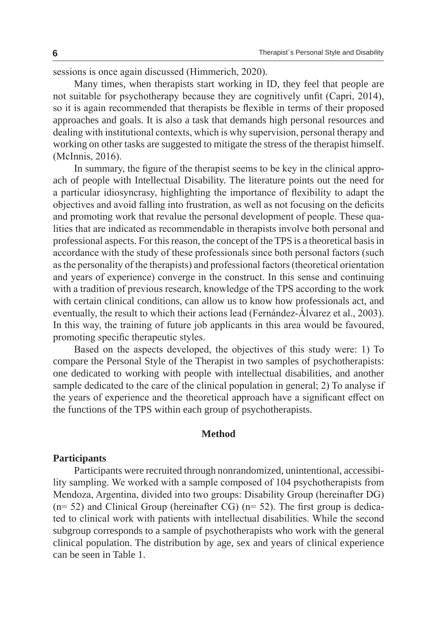sessions is once again discussed (Himmerich, 2020).

Many times, when therapists start working in ID, they feel that people are not suitable for psychotherapy because they are cognitively unfit (Capri, 2014), so it is again recommended that therapists be flexible in terms of their proposed approaches and goals. It is also a task that demands high personal resources and dealing with institutional contexts, which is why supervision, personal therapy and working on other tasks are suggested to mitigate the stress of the therapist himself. (McInnis, 2016).

In summary, the figure of the therapist seems to be key in the clinical approach of people with Intellectual Disability. The literature points out the need for a particular idiosyncrasy, highlighting the importance of flexibility to adapt the objectives and avoid falling into frustration, as well as not focusing on the deficits and promoting work that revalue the personal development of people. These qualities that are indicated as recommendable in therapists involve both personal and professional aspects. For this reason, the concept of the TPS is a theoretical basis in accordance with the study of these professionals since both personal factors (such as the personality of the therapists) and professional factors (theoretical orientation and years of experience) converge in the construct. In this sense and continuing with a tradition of previous research, knowledge of the TPS according to the work with certain clinical conditions, can allow us to know how professionals act, and eventually, the result to which their actions lead (Fernández-Álvarez et al., 2003). In this way, the training of future job applicants in this area would be favoured, promoting specific therapeutic styles.

Based on the aspects developed, the objectives of this study were: 1) To compare the Personal Style of the Therapist in two samples of psychotherapists: one dedicated to working with people with intellectual disabilities, and another sample dedicated to the care of the clinical population in general; 2) To analyse if the years of experience and the theoretical approach have a significant effect on the functions of the TPS within each group of psychotherapists.

### **Method**

### **Participants**

Participants were recruited through nonrandomized, unintentional, accessibility sampling. We worked with a sample composed of 104 psychotherapists from Mendoza, Argentina, divided into two groups: Disability Group (hereinafter DG)  $(n= 52)$  and Clinical Group (hereinafter CG)  $(n= 52)$ . The first group is dedicated to clinical work with patients with intellectual disabilities. While the second subgroup corresponds to a sample of psychotherapists who work with the general clinical population. The distribution by age, sex and years of clinical experience can be seen in Table 1.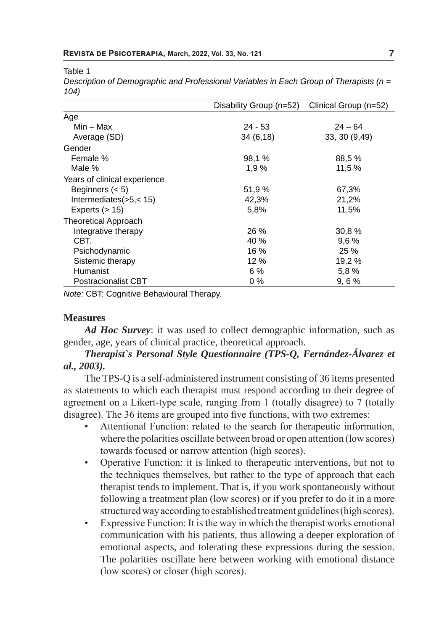Table 1

| Description of Demographic and Professional Variables in Each Group of Therapists ( $n =$ |  |
|-------------------------------------------------------------------------------------------|--|
| 104)                                                                                      |  |

|                              | Disability Group (n=52) | Clinical Group (n=52) |
|------------------------------|-------------------------|-----------------------|
| Age                          |                         |                       |
| $Min - Max$                  | $24 - 53$               | $24 - 64$             |
| Average (SD)                 | 34(6,18)                | 33, 30 (9,49)         |
| Gender                       |                         |                       |
| Female %                     | 98.1 %                  | 88,5 %                |
| Male %                       | 1,9%                    | 11,5 %                |
| Years of clinical experience |                         |                       |
| Beginners $(< 5)$            | 51,9%                   | 67,3%                 |
| Intermediates(>5,<15)        | 42,3%                   | 21,2%                 |
| Experts $(> 15)$             | 5,8%                    | 11,5%                 |
| <b>Theoretical Approach</b>  |                         |                       |
| Integrative therapy          | 26%                     | 30,8%                 |
| CBT.                         | 40 %                    | 9.6%                  |
| Psichodynamic                | 16 %                    | 25 %                  |
| Sistemic therapy             | 12%                     | 19,2 %                |
| Humanist                     | 6 %                     | 5,8%                  |
| <b>Postracionalist CBT</b>   | $0\%$                   | 9,6%                  |

*Note:* CBT: Cognitive Behavioural Therapy.

### **Measures**

*Ad Hoc Survey*: it was used to collect demographic information, such as gender, age, years of clinical practice, theoretical approach.

# *Therapist`s Personal Style Questionnaire (TPS-Q, Fernández-Álvarez et al., 2003).*

The TPS-Q is a self-administered instrument consisting of 36 items presented as statements to which each therapist must respond according to their degree of agreement on a Likert-type scale, ranging from 1 (totally disagree) to 7 (totally disagree). The 36 items are grouped into five functions, with two extremes:

- Attentional Function: related to the search for therapeutic information, where the polarities oscillate between broad or open attention (low scores) towards focused or narrow attention (high scores).
- Operative Function: it is linked to therapeutic interventions, but not to the techniques themselves, but rather to the type of approach that each therapist tends to implement. That is, if you work spontaneously without following a treatment plan (low scores) or if you prefer to do it in a more structured way according to established treatment guidelines (high scores).
- Expressive Function: It is the way in which the therapist works emotional communication with his patients, thus allowing a deeper exploration of emotional aspects, and tolerating these expressions during the session. The polarities oscillate here between working with emotional distance (low scores) or closer (high scores).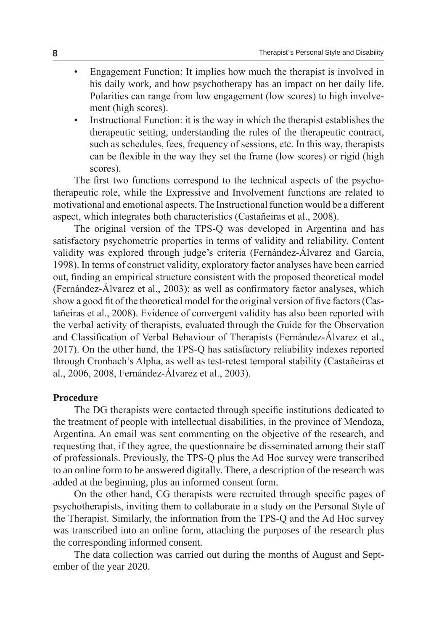- Engagement Function: It implies how much the therapist is involved in his daily work, and how psychotherapy has an impact on her daily life. Polarities can range from low engagement (low scores) to high involvement (high scores).
- Instructional Function: it is the way in which the therapist establishes the therapeutic setting, understanding the rules of the therapeutic contract, such as schedules, fees, frequency of sessions, etc. In this way, therapists can be flexible in the way they set the frame (low scores) or rigid (high scores).

The first two functions correspond to the technical aspects of the psychotherapeutic role, while the Expressive and Involvement functions are related to motivational and emotional aspects. The Instructional function would be a different aspect, which integrates both characteristics (Castañeiras et al., 2008).

The original version of the TPS-Q was developed in Argentina and has satisfactory psychometric properties in terms of validity and reliability. Content validity was explored through judge's criteria (Fernández-Álvarez and García, 1998). In terms of construct validity, exploratory factor analyses have been carried out, finding an empirical structure consistent with the proposed theoretical model (Fernández-Álvarez et al., 2003); as well as confirmatory factor analyses, which show a good fit of the theoretical model for the original version of five factors (Castañeiras et al., 2008). Evidence of convergent validity has also been reported with the verbal activity of therapists, evaluated through the Guide for the Observation and Classification of Verbal Behaviour of Therapists (Fernández-Álvarez et al., 2017). On the other hand, the TPS-Q has satisfactory reliability indexes reported through Cronbach's Alpha, as well as test-retest temporal stability (Castañeiras et al., 2006, 2008, Fernández-Álvarez et al., 2003).

### **Procedure**

The DG therapists were contacted through specific institutions dedicated to the treatment of people with intellectual disabilities, in the province of Mendoza, Argentina. An email was sent commenting on the objective of the research, and requesting that, if they agree, the questionnaire be disseminated among their staff of professionals. Previously, the TPS-Q plus the Ad Hoc survey were transcribed to an online form to be answered digitally. There, a description of the research was added at the beginning, plus an informed consent form.

On the other hand, CG therapists were recruited through specific pages of psychotherapists, inviting them to collaborate in a study on the Personal Style of the Therapist. Similarly, the information from the TPS-Q and the Ad Hoc survey was transcribed into an online form, attaching the purposes of the research plus the corresponding informed consent.

The data collection was carried out during the months of August and September of the year 2020.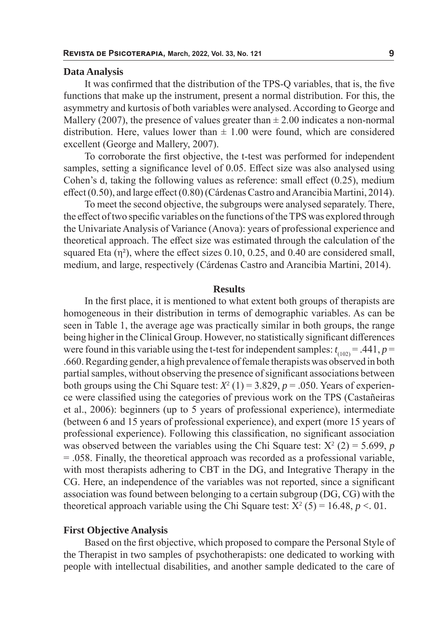#### **Data Analysis**

It was confirmed that the distribution of the TPS-Q variables, that is, the five functions that make up the instrument, present a normal distribution. For this, the asymmetry and kurtosis of both variables were analysed. According to George and Mallery (2007), the presence of values greater than  $\pm$  2.00 indicates a non-normal distribution. Here, values lower than  $\pm$  1.00 were found, which are considered excellent (George and Mallery, 2007).

To corroborate the first objective, the t-test was performed for independent samples, setting a significance level of 0.05. Effect size was also analysed using Cohen's d, taking the following values as reference: small effect (0.25), medium effect (0.50), and large effect (0.80) (Cárdenas Castro and Arancibia Martini, 2014).

To meet the second objective, the subgroups were analysed separately. There, the effect of two specific variables on the functions of the TPS was explored through the Univariate Analysis of Variance (Anova): years of professional experience and theoretical approach. The effect size was estimated through the calculation of the squared Eta  $(\eta^2)$ , where the effect sizes 0.10, 0.25, and 0.40 are considered small, medium, and large, respectively (Cárdenas Castro and Arancibia Martini, 2014).

### **Results**

In the first place, it is mentioned to what extent both groups of therapists are homogeneous in their distribution in terms of demographic variables. As can be seen in Table 1, the average age was practically similar in both groups, the range being higher in the Clinical Group. However, no statistically significant differences were found in this variable using the t-test for independent samples:  $t_{(102)} = .441, p =$ .660. Regarding gender, a high prevalence of female therapists was observed in both partial samples, without observing the presence of significant associations between both groups using the Chi Square test:  $X^2(1) = 3.829$ ,  $p = .050$ . Years of experience were classified using the categories of previous work on the TPS (Castañeiras et al., 2006): beginners (up to 5 years of professional experience), intermediate (between 6 and 15 years of professional experience), and expert (more 15 years of professional experience). Following this classification, no significant association was observed between the variables using the Chi Square test:  $X^2$  (2) = 5.699, *p* = .058. Finally, the theoretical approach was recorded as a professional variable, with most therapists adhering to CBT in the DG, and Integrative Therapy in the CG. Here, an independence of the variables was not reported, since a significant association was found between belonging to a certain subgroup (DG, CG) with the theoretical approach variable using the Chi Square test:  $X^2$  (5) = 16.48,  $p < 01$ .

### **First Objective Analysis**

Based on the first objective, which proposed to compare the Personal Style of the Therapist in two samples of psychotherapists: one dedicated to working with people with intellectual disabilities, and another sample dedicated to the care of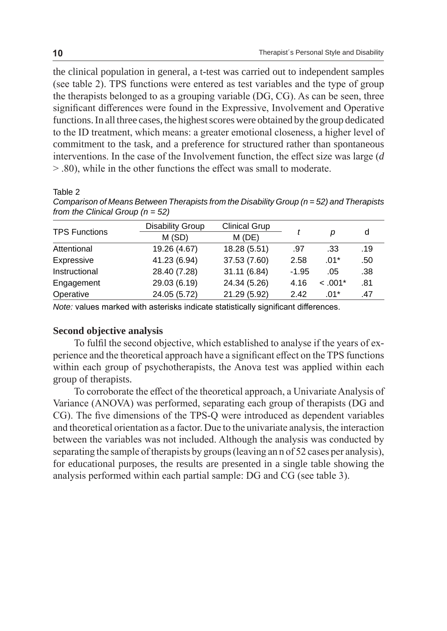the clinical population in general, a t-test was carried out to independent samples (see table 2). TPS functions were entered as test variables and the type of group the therapists belonged to as a grouping variable (DG, CG). As can be seen, three significant differences were found in the Expressive, Involvement and Operative functions. In all three cases, the highest scores were obtained by the group dedicated to the ID treatment, which means: a greater emotional closeness, a higher level of commitment to the task, and a preference for structured rather than spontaneous interventions. In the case of the Involvement function, the effect size was large (*d* > .80), while in the other functions the effect was small to moderate.

Table 2

*Comparison of Means Between Therapists from the Disability Group (n = 52) and Therapists from the Clinical Group (n = 52)*

| <b>TPS Functions</b> | <b>Disability Group</b> | <b>Clinical Grup</b> |         |           |     |
|----------------------|-------------------------|----------------------|---------|-----------|-----|
|                      | M (SD)                  | $M$ (DE)             |         | D         | d   |
| Attentional          | 19.26 (4.67)            | 18.28 (5.51)         | .97     | .33       | .19 |
| Expressive           | 41.23 (6.94)            | 37.53 (7.60)         | 2.58    | $.01*$    | .50 |
| Instructional        | 28.40 (7.28)            | 31.11 (6.84)         | $-1.95$ | .05       | .38 |
| Engagement           | 29.03 (6.19)            | 24.34 (5.26)         | 4.16    | $< .001*$ | .81 |
| Operative            | 24.05 (5.72)            | 21.29 (5.92)         | 2.42    | $.01*$    | .47 |

*Note:* values marked with asterisks indicate statistically significant differences.

## **Second objective analysis**

To fulfil the second objective, which established to analyse if the years of experience and the theoretical approach have a significant effect on the TPS functions within each group of psychotherapists, the Anova test was applied within each group of therapists.

To corroborate the effect of the theoretical approach, a Univariate Analysis of Variance (ANOVA) was performed, separating each group of therapists (DG and CG). The five dimensions of the TPS-Q were introduced as dependent variables and theoretical orientation as a factor. Due to the univariate analysis, the interaction between the variables was not included. Although the analysis was conducted by separating the sample of therapists by groups (leaving an n of 52 cases per analysis), for educational purposes, the results are presented in a single table showing the analysis performed within each partial sample: DG and CG (see table 3).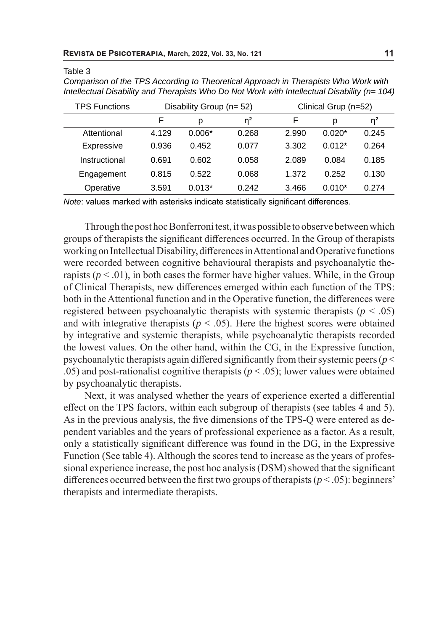Table 3

| <b>TPS Functions</b> |       | Disability Group (n= 52) |       |       | Clinical Grup (n=52) |          |
|----------------------|-------|--------------------------|-------|-------|----------------------|----------|
|                      | F     | р                        | $n^2$ | F     | D                    | $\eta^2$ |
| Attentional          | 4.129 | $0.006*$                 | 0.268 | 2.990 | $0.020*$             | 0.245    |
| Expressive           | 0.936 | 0.452                    | 0.077 | 3.302 | $0.012*$             | 0.264    |
| Instructional        | 0.691 | 0.602                    | 0.058 | 2.089 | 0.084                | 0.185    |
| Engagement           | 0.815 | 0.522                    | 0.068 | 1.372 | 0.252                | 0.130    |
| Operative            | 3.591 | $0.013*$                 | 0.242 | 3.466 | $0.010*$             | 0.274    |

*Comparison of the TPS According to Theoretical Approach in Therapists Who Work with Intellectual Disability and Therapists Who Do Not Work with Intellectual Disability (n= 104)*

*Note*: values marked with asterisks indicate statistically significant differences.

Through the post hoc Bonferroni test, it was possible to observe between which groups of therapists the significant differences occurred. In the Group of therapists working on Intellectual Disability, differences in Attentional and Operative functions were recorded between cognitive behavioural therapists and psychoanalytic therapists  $(p < .01)$ , in both cases the former have higher values. While, in the Group of Clinical Therapists, new differences emerged within each function of the TPS: both in the Attentional function and in the Operative function, the differences were registered between psychoanalytic therapists with systemic therapists  $(p < .05)$ and with integrative therapists ( $p < .05$ ). Here the highest scores were obtained by integrative and systemic therapists, while psychoanalytic therapists recorded the lowest values. On the other hand, within the CG, in the Expressive function, psychoanalytic therapists again differed significantly from their systemic peers (*p* < .05) and post-rationalist cognitive therapists (*p* < .05); lower values were obtained by psychoanalytic therapists.

Next, it was analysed whether the years of experience exerted a differential effect on the TPS factors, within each subgroup of therapists (see tables 4 and 5). As in the previous analysis, the five dimensions of the TPS-Q were entered as dependent variables and the years of professional experience as a factor. As a result, only a statistically significant difference was found in the DG, in the Expressive Function (See table 4). Although the scores tend to increase as the years of professional experience increase, the post hoc analysis (DSM) showed that the significant differences occurred between the first two groups of therapists ( $p < .05$ ): beginners' therapists and intermediate therapists.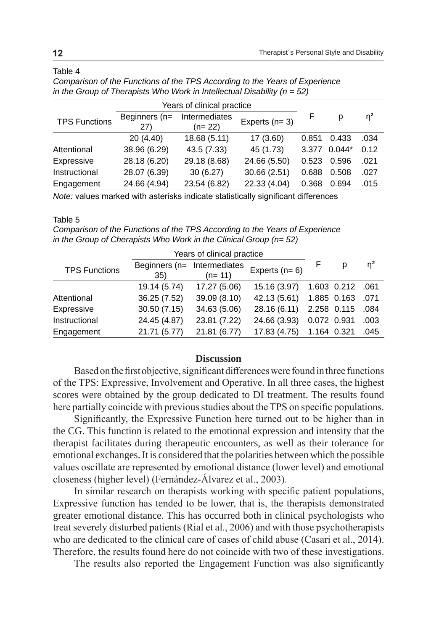### Table 4

| Years of clinical practice |                      |                           |                 |       |          |          |
|----------------------------|----------------------|---------------------------|-----------------|-------|----------|----------|
| <b>TPS Functions</b>       | Beginners (n=<br>27) | Intermediates<br>$(n=22)$ | Experts $(n=3)$ |       | р        | $\eta^2$ |
|                            | 20(4.40)             | 18.68 (5.11)              | 17(3.60)        | 0.851 | 0.433    | .034     |
| Attentional                | 38.96 (6.29)         | 43.5 (7.33)               | 45 (1.73)       | 3.377 | $0.044*$ | 0.12     |
| Expressive                 | 28.18 (6.20)         | 29.18 (8.68)              | 24.66 (5.50)    | 0.523 | 0.596    | .021     |
| Instructional              | 28.07 (6.39)         | 30(6.27)                  | 30.66(2.51)     | 0.688 | 0.508    | .027     |
| Engagement                 | 24.66 (4.94)         | 23.54 (6.82)              | 22.33 (4.04)    | 0.368 | 0.694    | .015     |

*Comparison of the Functions of the TPS According to the Years of Experience in the Group of Therapists Who Work in Intellectual Disability (n = 52)*

*Note:* values marked with asterisks indicate statistically significant differences

### Table 5

*Comparison of the Functions of the TPS According to the Years of Experience in the Group of Cherapists Who Work in the Clinical Group (n= 52)*

|                      | Years of clinical practice         |              |                 |             |             |          |
|----------------------|------------------------------------|--------------|-----------------|-------------|-------------|----------|
| <b>TPS Functions</b> | Beginners (n= Intermediates<br>35) | $(n=11)$     | Experts $(n=6)$ |             | p           | $\eta^2$ |
|                      | 19.14 (5.74)                       | 17.27 (5.06) | 15.16 (3.97)    |             | 1.603 0.212 | .061     |
| Attentional          | 36.25 (7.52)                       | 39.09 (8.10) | 42.13 (5.61)    |             | 1.885 0.163 | .071     |
| Expressive           | 30.50(7.15)                        | 34.63 (5.06) | 28.16 (6.11)    | 2.258 0.115 |             | .084     |
| Instructional        | 24.45 (4.87)                       | 23.81 (7.22) | 24.66 (3.93)    | 0.072 0.931 |             | .003     |
| Engagement           | 21.71 (5.77)                       | 21.81 (6.77) | 17.83 (4.75)    | 1.164 0.321 |             | .045     |

# **Discussion**

Based on the first objective, significant differences were found in three functions of the TPS: Expressive, Involvement and Operative. In all three cases, the highest scores were obtained by the group dedicated to DI treatment. The results found here partially coincide with previous studies about the TPS on specific populations.

Significantly, the Expressive Function here turned out to be higher than in the CG. This function is related to the emotional expression and intensity that the therapist facilitates during therapeutic encounters, as well as their tolerance for emotional exchanges. It is considered that the polarities between which the possible values oscillate are represented by emotional distance (lower level) and emotional closeness (higher level) (Fernández-Álvarez et al., 2003).

In similar research on therapists working with specific patient populations, Expressive function has tended to be lower, that is, the therapists demonstrated greater emotional distance. This has occurred both in clinical psychologists who treat severely disturbed patients (Rial et al., 2006) and with those psychotherapists who are dedicated to the clinical care of cases of child abuse (Casari et al., 2014). Therefore, the results found here do not coincide with two of these investigations.

The results also reported the Engagement Function was also significantly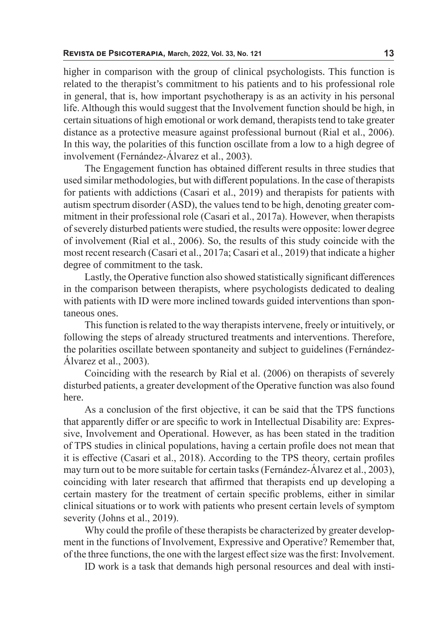higher in comparison with the group of clinical psychologists. This function is related to the therapist's commitment to his patients and to his professional role in general, that is, how important psychotherapy is as an activity in his personal life. Although this would suggest that the Involvement function should be high, in certain situations of high emotional or work demand, therapists tend to take greater distance as a protective measure against professional burnout (Rial et al., 2006). In this way, the polarities of this function oscillate from a low to a high degree of involvement (Fernández-Álvarez et al., 2003).

The Engagement function has obtained different results in three studies that used similar methodologies, but with different populations. In the case of therapists for patients with addictions (Casari et al., 2019) and therapists for patients with autism spectrum disorder (ASD), the values tend to be high, denoting greater commitment in their professional role (Casari et al., 2017a). However, when therapists of severely disturbed patients were studied, the results were opposite: lower degree of involvement (Rial et al., 2006). So, the results of this study coincide with the most recent research (Casari et al., 2017a; Casari et al., 2019) that indicate a higher degree of commitment to the task.

Lastly, the Operative function also showed statistically significant differences in the comparison between therapists, where psychologists dedicated to dealing with patients with ID were more inclined towards guided interventions than spontaneous ones.

This function is related to the way therapists intervene, freely or intuitively, or following the steps of already structured treatments and interventions. Therefore, the polarities oscillate between spontaneity and subject to guidelines (Fernández-Álvarez et al., 2003).

Coinciding with the research by Rial et al. (2006) on therapists of severely disturbed patients, a greater development of the Operative function was also found here.

As a conclusion of the first objective, it can be said that the TPS functions that apparently differ or are specific to work in Intellectual Disability are: Expressive, Involvement and Operational. However, as has been stated in the tradition of TPS studies in clinical populations, having a certain profile does not mean that it is effective (Casari et al., 2018). According to the TPS theory, certain profiles may turn out to be more suitable for certain tasks (Fernández-Álvarez et al., 2003), coinciding with later research that affirmed that therapists end up developing a certain mastery for the treatment of certain specific problems, either in similar clinical situations or to work with patients who present certain levels of symptom severity (Johns et al., 2019).

Why could the profile of these therapists be characterized by greater development in the functions of Involvement, Expressive and Operative? Remember that, of the three functions, the one with the largest effect size was the first: Involvement.

ID work is a task that demands high personal resources and deal with insti-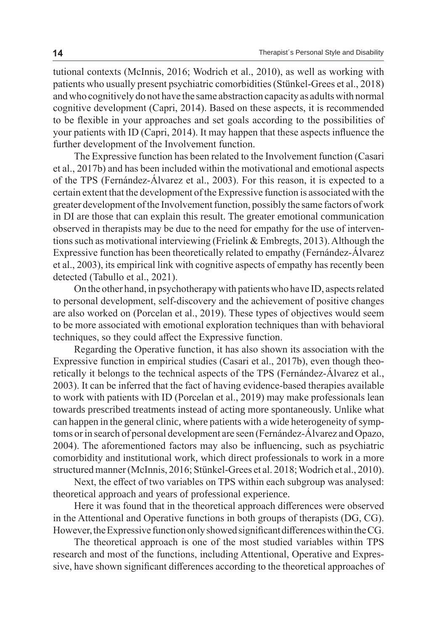tutional contexts (McInnis, 2016; Wodrich et al., 2010), as well as working with patients who usually present psychiatric comorbidities (Stünkel-Grees et al., 2018) and who cognitively do not have the same abstraction capacity as adults with normal cognitive development (Capri, 2014). Based on these aspects, it is recommended to be flexible in your approaches and set goals according to the possibilities of your patients with ID (Capri, 2014). It may happen that these aspects influence the further development of the Involvement function.

The Expressive function has been related to the Involvement function (Casari et al., 2017b) and has been included within the motivational and emotional aspects of the TPS (Fernández-Álvarez et al., 2003). For this reason, it is expected to a certain extent that the development of the Expressive function is associated with the greater development of the Involvement function, possibly the same factors of work in DI are those that can explain this result. The greater emotional communication observed in therapists may be due to the need for empathy for the use of interventions such as motivational interviewing (Frielink & Embregts, 2013). Although the Expressive function has been theoretically related to empathy (Fernández-Álvarez et al., 2003), its empirical link with cognitive aspects of empathy has recently been detected (Tabullo et al., 2021).

On the other hand, in psychotherapy with patients who have ID, aspects related to personal development, self-discovery and the achievement of positive changes are also worked on (Porcelan et al., 2019). These types of objectives would seem to be more associated with emotional exploration techniques than with behavioral techniques, so they could affect the Expressive function.

Regarding the Operative function, it has also shown its association with the Expressive function in empirical studies (Casari et al., 2017b), even though theoretically it belongs to the technical aspects of the TPS (Fernández-Álvarez et al., 2003). It can be inferred that the fact of having evidence-based therapies available to work with patients with ID (Porcelan et al., 2019) may make professionals lean towards prescribed treatments instead of acting more spontaneously. Unlike what can happen in the general clinic, where patients with a wide heterogeneity of symptoms or in search of personal development are seen (Fernández-Álvarez and Opazo, 2004). The aforementioned factors may also be influencing, such as psychiatric comorbidity and institutional work, which direct professionals to work in a more structured manner (McInnis, 2016; Stünkel-Grees et al. 2018; Wodrich et al., 2010).

Next, the effect of two variables on TPS within each subgroup was analysed: theoretical approach and years of professional experience.

Here it was found that in the theoretical approach differences were observed in the Attentional and Operative functions in both groups of therapists (DG, CG). However, the Expressive function only showed significant differences within the CG.

The theoretical approach is one of the most studied variables within TPS research and most of the functions, including Attentional, Operative and Expressive, have shown significant differences according to the theoretical approaches of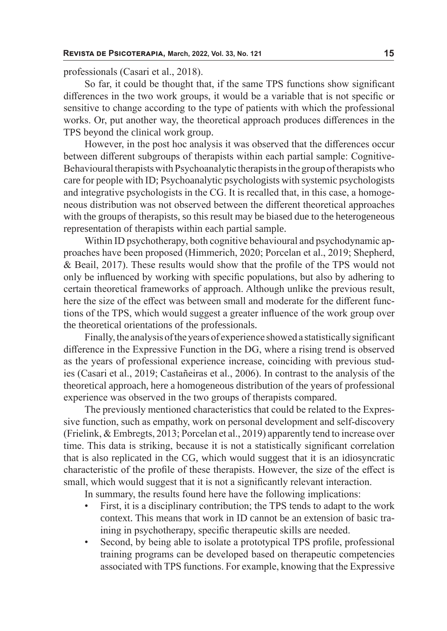professionals (Casari et al., 2018).

So far, it could be thought that, if the same TPS functions show significant differences in the two work groups, it would be a variable that is not specific or sensitive to change according to the type of patients with which the professional works. Or, put another way, the theoretical approach produces differences in the TPS beyond the clinical work group.

However, in the post hoc analysis it was observed that the differences occur between different subgroups of therapists within each partial sample: Cognitive-Behavioural therapists with Psychoanalytic therapists in the group of therapists who care for people with ID; Psychoanalytic psychologists with systemic psychologists and integrative psychologists in the CG. It is recalled that, in this case, a homogeneous distribution was not observed between the different theoretical approaches with the groups of therapists, so this result may be biased due to the heterogeneous representation of therapists within each partial sample.

Within ID psychotherapy, both cognitive behavioural and psychodynamic approaches have been proposed (Himmerich, 2020; Porcelan et al., 2019; Shepherd, & Beail, 2017). These results would show that the profile of the TPS would not only be influenced by working with specific populations, but also by adhering to certain theoretical frameworks of approach. Although unlike the previous result, here the size of the effect was between small and moderate for the different functions of the TPS, which would suggest a greater influence of the work group over the theoretical orientations of the professionals.

Finally, the analysis of the years of experience showed a statistically significant difference in the Expressive Function in the DG, where a rising trend is observed as the years of professional experience increase, coinciding with previous studies (Casari et al., 2019; Castañeiras et al., 2006). In contrast to the analysis of the theoretical approach, here a homogeneous distribution of the years of professional experience was observed in the two groups of therapists compared.

The previously mentioned characteristics that could be related to the Expressive function, such as empathy, work on personal development and self-discovery (Frielink, & Embregts, 2013; Porcelan et al., 2019) apparently tend to increase over time. This data is striking, because it is not a statistically significant correlation that is also replicated in the CG, which would suggest that it is an idiosyncratic characteristic of the profile of these therapists. However, the size of the effect is small, which would suggest that it is not a significantly relevant interaction.

In summary, the results found here have the following implications:

- First, it is a disciplinary contribution; the TPS tends to adapt to the work context. This means that work in ID cannot be an extension of basic training in psychotherapy, specific therapeutic skills are needed.
- Second, by being able to isolate a prototypical TPS profile, professional training programs can be developed based on therapeutic competencies associated with TPS functions. For example, knowing that the Expressive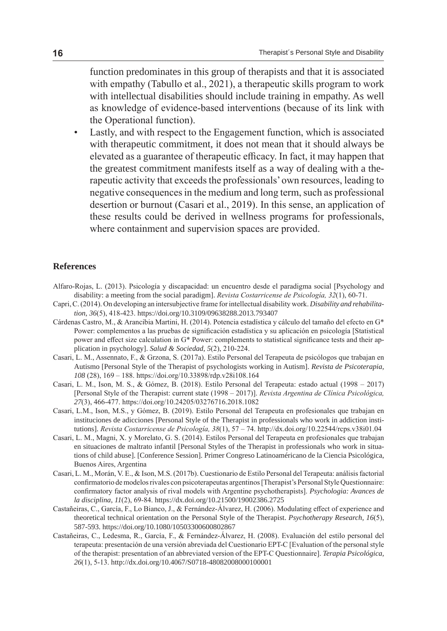function predominates in this group of therapists and that it is associated with empathy (Tabullo et al., 2021), a therapeutic skills program to work with intellectual disabilities should include training in empathy. As well as knowledge of evidence-based interventions (because of its link with the Operational function).

• Lastly, and with respect to the Engagement function, which is associated with therapeutic commitment, it does not mean that it should always be elevated as a guarantee of therapeutic efficacy. In fact, it may happen that the greatest commitment manifests itself as a way of dealing with a therapeutic activity that exceeds the professionals' own resources, leading to negative consequences in the medium and long term, such as professional desertion or burnout (Casari et al., 2019). In this sense, an application of these results could be derived in wellness programs for professionals, where containment and supervision spaces are provided.

#### **References**

- Alfaro-Rojas, L. (2013). Psicología y discapacidad: un encuentro desde el paradigma social [Psychology and disability: a meeting from the social paradigm]. *Revista Costarricense de Psicología, 32*(1), 60-71.
- Capri, C. (2014). On developing an intersubjective frame for intellectual disability work. *Disability and rehabilitation*, *36*(5), 418-423. https://doi.org/10.3109/09638288.2013.793407
- Cárdenas Castro, M., & Arancibia Martini, H. (2014). Potencia estadística y cálculo del tamaño del efecto en G\* Power: complementos a las pruebas de significación estadística y su aplicación en psicología [Statistical power and effect size calculation in G\* Power: complements to statistical significance tests and their application in psychology]. *Salud & Sociedad*, *5*(2), 210-224.
- Casari, L. M., Assennato, F., & Grzona, S. (2017a). Estilo Personal del Terapeuta de psicólogos que trabajan en Autismo [Personal Style of the Therapist of psychologists working in Autism]. *Revista de Psicoterapia, 108* (28), 169 – 188. https://doi.org/10.33898/rdp.v28i108.164
- Casari, L. M., Ison, M. S., & Gómez, B. (2018). Estilo Personal del Terapeuta: estado actual (1998 2017) [Personal Style of the Therapist: current state (1998 – 2017)]. *Revista Argentina de Clínica Psicológica, 27*(3), 466-477. https://doi.org/10.24205/03276716.2018.1082
- Casari, L.M., Ison, M.S., y Gómez, B. (2019). Estilo Personal del Terapeuta en profesionales que trabajan en instituciones de adicciones [Personal Style of the Therapist in professionals who work in addiction institutions]. *Revista Costarricense de Psicología, 38*(1), 57 – 74. http://dx.doi.org/10.22544/rcps.v38i01.04
- Casari, L. M., Magni, X. y Morelato, G. S. (2014). Estilos Personal del Terapeuta en profesionales que trabajan en situaciones de maltrato infantil [Personal Styles of the Therapist in professionals who work in situations of child abuse]. [Conference Session]. Primer Congreso Latinoaméricano de la Ciencia Psicológica, Buenos Aires, Argentina
- Casari, L. M., Morán, V. E., & Ison, M.S. (2017b). Cuestionario de Estilo Personal del Terapeuta: análisis factorial confirmatorio de modelos rivales con psicoterapeutas argentinos [Therapist's Personal Style Questionnaire: confirmatory factor analysis of rival models with Argentine psychotherapists]. *Psychologia: Avances de la disciplina*, *11*(2), 69-84. https://dx.doi.org/10.21500/19002386.2725
- Castañeiras, C., García, F., Lo Bianco, J., & Fernández-Álvarez, H. (2006). Modulating effect of experience and theoretical technical orientation on the Personal Style of the Therapist. *Psychotherapy Research, 16*(5), 587-593. https://doi.org/10.1080/10503300600802867
- Castañeiras, C., Ledesma, R., García, F., & Fernández-Álvarez, H. (2008). Evaluación del estilo personal del terapeuta: presentación de una versión abreviada del Cuestionario EPT-C [Evaluation of the personal style of the therapist: presentation of an abbreviated version of the EPT-C Questionnaire]. *Terapia Psicológica, 26*(1), 5-13. http://dx.doi.org/10.4067/S0718-48082008000100001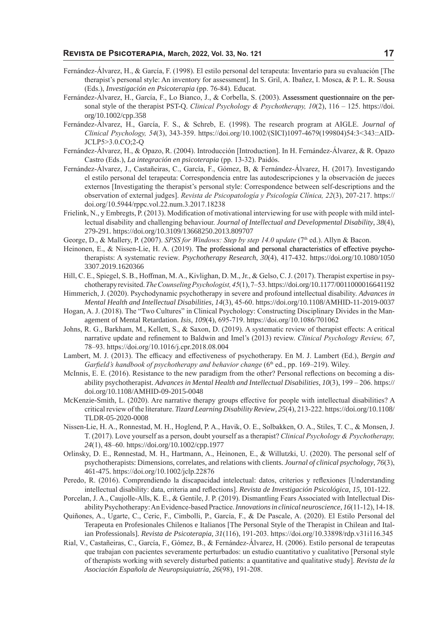- Fernández-Álvarez, H., & García, F. (1998). El estilo personal del terapeuta: Inventario para su evaluación [The therapist's personal style: An inventory for assessment]. In S. Gril, A. Ibañez, I. Mosca, & P. L. R. Sousa (Eds.), *Investigación en Psicoterapia* (pp. 76-84). Educat.
- Fernández-Álvarez, H., García, F., Lo Bianco, J., & Corbella, S. (2003). Assessment questionnaire on the personal style of the therapist PST-Q. *Clinical Psychology & Psychotherapy, 10*(2), 116 – 125. https://doi. org/10.1002/cpp.358
- Fernández-Álvarez, H., García, F. S., & Schreb, E. (1998). The research program at AIGLE. *Journal of Clinical Psychology, 54*(3), 343-359. https://doi.org/10.1002/(SICI)1097-4679(199804)54:3<343::AID-JCLP5>3.0.CO;2-Q
- Fernández-Álvarez, H., & Opazo, R. (2004). Introducción [Introduction]. In H. Fernández-Álvarez, & R. Opazo Castro (Eds.), *La integración en psicoterapia* (pp. 13-32). Paidós.
- Fernández-Álvarez, J., Castañeiras, C., García, F., Gómez, B, & Fernández-Álvarez, H. (2017). Investigando el estilo personal del terapeuta: Correspondencia entre las autodescripciones y la observación de jueces externos [Investigating the therapist's personal style: Correspondence between self-descriptions and the observation of external judges]. *Revista de Psicopatología y Psicología Clínica, 22*(3), 207-217. https:// doi.org/10.5944/rppc.vol.22.num.3.2017.18238
- Frielink, N., y Embregts, P. (2013). Modification of motivational interviewing for use with people with mild intellectual disability and challenging behaviour. *Journal of Intellectual and Developmental Disability*, *38*(4), 279-291. https://doi.org/10.3109/13668250.2013.809707
- George, D., & Mallery, P. (2007). *SPSS for Windows: Step by step 14.0 update* (7<sup>th</sup> ed.). Allyn & Bacon.
- Heinonen, E., & Nissen-Lie, H. A. (2019). The professional and personal characteristics of effective psychotherapists: A systematic review. *Psychotherapy Research*, *30*(4), 417-432. https://doi.org/10.1080/1050 3307.2019.1620366
- Hill, C. E., Spiegel, S. B., Hoffman, M. A., Kivlighan, D. M., Jr., & Gelso, C. J. (2017). Therapist expertise in psychotherapy revisited. *The Counseling Psychologist, 45*(1), 7–53. https://doi.org/10.1177/0011000016641192
- Himmerich, J. (2020). Psychodynamic psychotherapy in severe and profound intellectual disability. *Advances in Mental Health and Intellectual Disabilities, 14*(3), 45-60. https://doi.org/10.1108/AMHID-11-2019-0037
- Hogan, A. J. (2018). The "Two Cultures" in Clinical Psychology: Constructing Disciplinary Divides in the Management of Mental Retardation. *Isis*, *109*(4), 695-719. https://doi.org/10.1086/701062
- Johns, R. G., Barkham, M., Kellett, S., & Saxon, D. (2019). A systematic review of therapist effects: A critical narrative update and refinement to Baldwin and Imel's (2013) review. *Clinical Psychology Review, 67*, 78–93. https://doi.org/10.1016/j.cpr.2018.08.004
- Lambert, M. J. (2013). The efficacy and effectiveness of psychotherapy. En M. J. Lambert (Ed.), *Bergin and Garfield's handbook of psychotherapy and behavior change* (6<sup>th</sup> ed., pp. 169–219). Wiley.
- McInnis, E. E. (2016). Resistance to the new paradigm from the other? Personal reflections on becoming a disability psychotherapist. *Advances in Mental Health and Intellectual Disabilities, 10*(3), 199 – 206. https:// doi.org/10.1108/AMHID-09-2015-0048
- McKenzie-Smith, L. (2020). Are narrative therapy groups effective for people with intellectual disabilities? A critical review of the literature. *Tizard Learning Disability Review*, *25*(4), 213-222. https://doi.org/10.1108/ TLDR-05-2020-0008
- Nissen-Lie, H. A., Ronnestad, M. H., Hoglend, P. A., Havik, O. E., Solbakken, O. A., Stiles, T. C., & Monsen, J. T. (2017). Love yourself as a person, doubt yourself as a therapist? *Clinical Psychology & Psychotherapy, 24*(1), 48–60. https://doi.org/10.1002/cpp.1977
- Orlinsky, D. E., Rønnestad, M. H., Hartmann, A., Heinonen, E., & Willutzki, U. (2020). The personal self of psychotherapists: Dimensions, correlates, and relations with clients. *Journal of clinical psychology*, *76*(3), 461-475. https://doi.org/10.1002/jclp.22876
- Peredo, R. (2016). Comprendiendo la discapacidad intelectual: datos, criterios y reflexiones [Understanding intellectual disability: data, criteria and reflections]. *Revista de Investigación Psicológica*, *15*, 101-122.
- Porcelan, J. A., Caujolle-Alls, K. E., & Gentile, J. P. (2019). Dismantling Fears Associated with Intellectual Disability Psychotherapy: An Evidence-based Practice.*Innovations in clinical neuroscience*, *16*(11-12), 14-18.
- Quiñones, A., Ugarte, C., Ceric, F., Cimbolli, P., García, F., & De Pascale, A. (2020). El Estilo Personal del Terapeuta en Profesionales Chilenos e Italianos [The Personal Style of the Therapist in Chilean and Italian Professionals]. *Revista de Psicoterapia, 31*(116), 191-203. https://doi.org/10.33898/rdp.v31i116.345
- Rial, V., Castañeiras, C., García, F., Gómez, B., & Fernández-Álvarez, H. (2006). Estilo personal de terapeutas que trabajan con pacientes severamente perturbados: un estudio cuantitativo y cualitativo [Personal style of therapists working with severely disturbed patients: a quantitative and qualitative study]. *Revista de la Asociación Española de Neuropsiquiatría, 26*(98), 191-208.